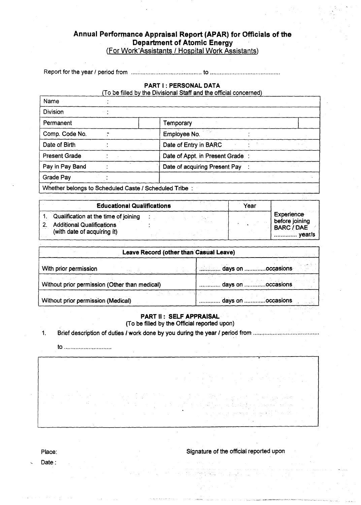## **Annual Performance Appraisal Report (APAR) for Officials of the Department of Atomic Energy**  (For Work-Assistants / Hospital Work Assistants)

Report for the year / period from to

#### **PART I : PERSONAL DATA**

To be filled by the Divisional Staff and the official concerned

| Name                                                  |                                  |  |  |
|-------------------------------------------------------|----------------------------------|--|--|
| <b>Division</b>                                       |                                  |  |  |
| Permanent                                             | Temporary                        |  |  |
| Comp. Code No.                                        | Employee No.                     |  |  |
| Date of Birth                                         | Date of Entry in BARC            |  |  |
| <b>Present Grade</b>                                  | Date of Appt. in Present Grade : |  |  |
| Pay in Pay Band                                       | Date of acquiring Present Pay    |  |  |
| Grade Pay                                             |                                  |  |  |
| Whether belongs to Scheduled Caste / Scheduled Tribe: |                                  |  |  |

| <b>Educational Qualifications</b>    | Year |                                      |
|--------------------------------------|------|--------------------------------------|
| Qualification at the time of joining |      | <b>Experience</b>                    |
| <b>Additional Qualifications</b>     |      | before joining.<br><b>BARC / DAE</b> |
| (with date of acquiring it)          |      | vear/s                               |

| Leave Record (other than Casual Leave)        |                   |  |  |  |
|-----------------------------------------------|-------------------|--|--|--|
| With prior permission                         | days on occasions |  |  |  |
| Without prior permission (Other than medical) | days on occasions |  |  |  |
| Without prior permission (Medical)            | days on occasions |  |  |  |

#### **PART II : SELF APPRAISAL**  (To be filled by the Official reported upon)

1. Brief description of duties I work done by you during the year /period from

to

Place: Signature of the official reported upon

Date :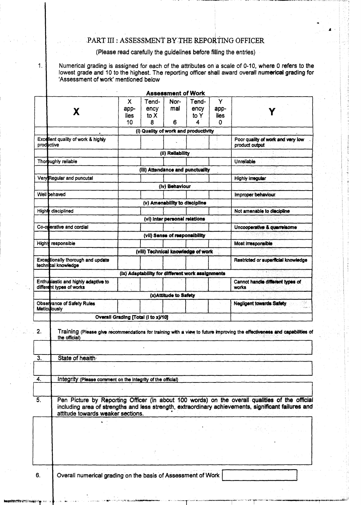# PART III : ASSESSMENT BY. THE REPORTING OFFICER

(Please read carefully the guidelines before filling the entries)

 $\mathbf{1}$ .

Numerical grading is assigned for each of the attributes on a scale of 0-10, where 0 refers to the lowest grade and 10 to the highest. The reporting officer shall award overall numerical grading for 'Assessment of work' mentioned below

|                  |                                                                 |                                     |                                                  | <b>Assessment of Work</b>     |                            |                               |                                                                                                                                                                                                       |
|------------------|-----------------------------------------------------------------|-------------------------------------|--------------------------------------------------|-------------------------------|----------------------------|-------------------------------|-------------------------------------------------------------------------------------------------------------------------------------------------------------------------------------------------------|
|                  | X                                                               | X.<br>app-<br>lies<br>10            | Tend-<br>ency<br>to X<br>8                       | Nor-<br>mal<br>6              | Tend-<br>ency<br>to Y<br>4 | Y<br>app-<br>lies<br>$\Omega$ |                                                                                                                                                                                                       |
|                  |                                                                 |                                     | (i) Quality of work and productivity             |                               |                            |                               |                                                                                                                                                                                                       |
| productive       | Excellent quality of work & highly                              |                                     |                                                  |                               |                            |                               | Poor quality of work and very low<br>product output                                                                                                                                                   |
|                  |                                                                 |                                     |                                                  | (ii) Reliability              |                            |                               |                                                                                                                                                                                                       |
|                  | Thoroughly reliable                                             |                                     |                                                  |                               |                            |                               | Unreliable                                                                                                                                                                                            |
|                  |                                                                 |                                     | (iii) Attendance and punctuality                 |                               |                            |                               |                                                                                                                                                                                                       |
|                  | Very Regular and puncutal                                       |                                     |                                                  |                               |                            |                               | Highly irregular                                                                                                                                                                                      |
|                  |                                                                 |                                     |                                                  | (iv) Behaviour                |                            |                               |                                                                                                                                                                                                       |
|                  | Well behaved                                                    |                                     |                                                  |                               |                            |                               | Improper behaviour                                                                                                                                                                                    |
|                  |                                                                 |                                     |                                                  | (v) Amenability to discipline |                            |                               |                                                                                                                                                                                                       |
|                  | Highly disciplined                                              |                                     |                                                  | (vi) Inter personal relations |                            |                               | Not amenable to discipline                                                                                                                                                                            |
|                  | Co-operative and cordial                                        |                                     |                                                  |                               |                            |                               | Uncooperative & quarrelsome                                                                                                                                                                           |
|                  |                                                                 |                                     |                                                  | (vil) Sense of responsibility |                            |                               |                                                                                                                                                                                                       |
|                  | Highly responsible                                              |                                     |                                                  |                               |                            |                               | Most irresponsible                                                                                                                                                                                    |
|                  |                                                                 |                                     | (viii) Technical knowledge of work               |                               |                            |                               |                                                                                                                                                                                                       |
|                  | <b>Exceptionally thorough and update</b><br>technical knowledge |                                     |                                                  |                               |                            |                               | Restricted or superficial knowledge                                                                                                                                                                   |
|                  |                                                                 |                                     | (ix) Adaptability for different work assignments |                               |                            |                               |                                                                                                                                                                                                       |
|                  | Enthusiastic and highly adaptive to<br>different types of works |                                     |                                                  |                               |                            |                               | Cannot handle different types of<br>works.                                                                                                                                                            |
|                  |                                                                 |                                     |                                                  | (x)Attitude to Safety         |                            |                               |                                                                                                                                                                                                       |
|                  | Observance of Safety Rules<br><b>Meticutously</b>               |                                     |                                                  |                               |                            |                               | <b>Negligent towards Safety</b>                                                                                                                                                                       |
|                  |                                                                 | Overall Grading [Total (i to x)/10] |                                                  |                               |                            |                               |                                                                                                                                                                                                       |
| 2.               | the official)                                                   |                                     |                                                  |                               |                            |                               | Training (Please give recommendations for training with a view to future improving the effectiveness and capabilities of                                                                              |
|                  |                                                                 |                                     |                                                  |                               |                            |                               |                                                                                                                                                                                                       |
| $\overline{3}$ . | State of health                                                 |                                     |                                                  |                               |                            |                               |                                                                                                                                                                                                       |
|                  |                                                                 |                                     |                                                  |                               |                            |                               |                                                                                                                                                                                                       |
| 4.               | Integrity (Please comment on the integrity of the official)     |                                     |                                                  |                               |                            |                               |                                                                                                                                                                                                       |
|                  |                                                                 |                                     |                                                  |                               |                            |                               |                                                                                                                                                                                                       |
| 5.               | attitude towards weaker sections.                               |                                     |                                                  |                               |                            |                               | Pen Picture by Reporting Officer (in about 100 words) on the overall qualities of the official<br>including area of strengths and less strength, extraordinary achievements, significant failures and |
|                  |                                                                 |                                     |                                                  |                               |                            |                               |                                                                                                                                                                                                       |
|                  |                                                                 |                                     |                                                  |                               |                            |                               |                                                                                                                                                                                                       |
|                  |                                                                 |                                     |                                                  |                               |                            |                               |                                                                                                                                                                                                       |
|                  |                                                                 |                                     |                                                  |                               |                            |                               |                                                                                                                                                                                                       |
|                  |                                                                 |                                     |                                                  |                               |                            |                               |                                                                                                                                                                                                       |
| 6.               | Overall numerical grading on the basis of Assessment of Work    |                                     |                                                  |                               |                            |                               |                                                                                                                                                                                                       |

renti**gun**dur<br>|<br>|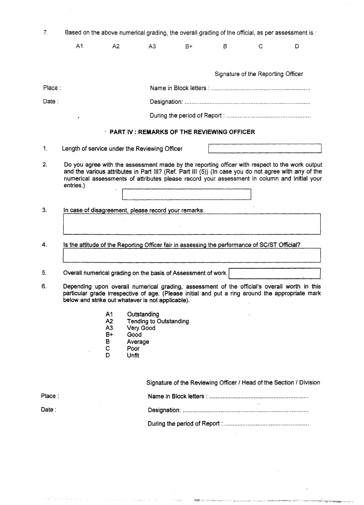| 7.     | Based on the above numerical grading, the overall grading of the official, as per assessment is : |                                                             |                                                                                                                                                                                                                                                                                                         |      |   |                                    |                                                                     |
|--------|---------------------------------------------------------------------------------------------------|-------------------------------------------------------------|---------------------------------------------------------------------------------------------------------------------------------------------------------------------------------------------------------------------------------------------------------------------------------------------------------|------|---|------------------------------------|---------------------------------------------------------------------|
|        | A <sub>1</sub>                                                                                    | A2                                                          | A <sub>3</sub>                                                                                                                                                                                                                                                                                          | $B+$ | в | С                                  | D                                                                   |
|        |                                                                                                   |                                                             |                                                                                                                                                                                                                                                                                                         |      |   |                                    |                                                                     |
|        |                                                                                                   |                                                             |                                                                                                                                                                                                                                                                                                         |      |   | Signature of the Reporting Officer |                                                                     |
| Place: |                                                                                                   |                                                             |                                                                                                                                                                                                                                                                                                         |      |   |                                    |                                                                     |
| Date:  |                                                                                                   |                                                             |                                                                                                                                                                                                                                                                                                         |      |   |                                    |                                                                     |
|        |                                                                                                   |                                                             |                                                                                                                                                                                                                                                                                                         |      |   |                                    |                                                                     |
|        |                                                                                                   |                                                             | $\cdot$ PART IV : REMARKS OF THE REVIEWING OFFICER                                                                                                                                                                                                                                                      |      |   |                                    |                                                                     |
| 1.     |                                                                                                   |                                                             | Length of service under the Reviewing Officer                                                                                                                                                                                                                                                           |      |   |                                    |                                                                     |
| 2.     | entries.)                                                                                         |                                                             | Do you agree with the assessment made by the reporting officer with respect to the work output<br>and the various attributes in Part III? (Ref. Part III (5)) (In case you do not agree with any of the<br>numerical assessments of attributes please record your assessment in column and initial your |      |   |                                    |                                                                     |
| 3.     |                                                                                                   |                                                             | In case of disagreement, please record your remarks.                                                                                                                                                                                                                                                    |      |   |                                    |                                                                     |
|        |                                                                                                   |                                                             |                                                                                                                                                                                                                                                                                                         |      |   |                                    |                                                                     |
| 4.     |                                                                                                   |                                                             | Is the attitude of the Reporting Officer fair in assessing the performance of SC/ST Official?                                                                                                                                                                                                           |      |   |                                    |                                                                     |
| 5.     |                                                                                                   |                                                             | Overall numerical grading on the basis of Assessment of work                                                                                                                                                                                                                                            |      |   |                                    |                                                                     |
| 6.     |                                                                                                   |                                                             | Depending upon overall numerical grading, assessment of the official's overall worth in this<br>particular grade irrespective of age. (Please initial and put a ring around the appropriate mark<br>below and strike out whatever is not applicable).                                                   |      |   |                                    |                                                                     |
|        |                                                                                                   | A <sub>1</sub><br>A2<br>A <sub>3</sub><br>B+<br>B<br>C<br>D | Outstanding<br><b>Tending to Outstanding</b><br>Very Good<br>Good<br>Average<br>Poor<br>Unfit                                                                                                                                                                                                           |      |   |                                    |                                                                     |
|        |                                                                                                   |                                                             |                                                                                                                                                                                                                                                                                                         |      |   |                                    | Signature of the Reviewing Officer / Head of the Section / Division |
| Place: |                                                                                                   |                                                             |                                                                                                                                                                                                                                                                                                         |      |   |                                    |                                                                     |
| Date:  |                                                                                                   |                                                             |                                                                                                                                                                                                                                                                                                         |      |   |                                    |                                                                     |
|        |                                                                                                   |                                                             |                                                                                                                                                                                                                                                                                                         |      |   |                                    |                                                                     |
|        |                                                                                                   |                                                             |                                                                                                                                                                                                                                                                                                         |      |   |                                    |                                                                     |

 $\rightarrow$  -  $_{\rm 23}$   $\cdots$ 

age.

.<br>Sin till i 1990 var trendt sørver og till en energi for fo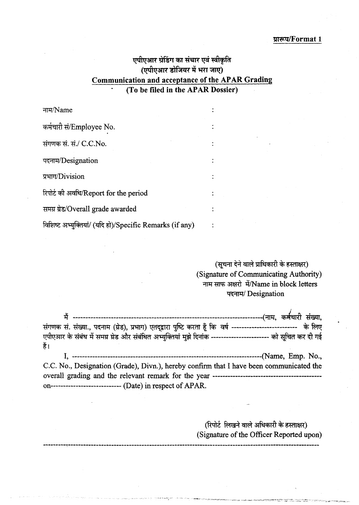## **प्रारूप/Format 1**

# **एपीएआर ग्रेडिंग का संचार एवं स्वीकृति NI4figaTRYINEIT .11 1m7r0 Communication and acceptance of the APAR Grading (To be filed in the APAR Dossier)**

| नाम/Name                                                 |  |
|----------------------------------------------------------|--|
| कर्मचारी सं/Employee No.                                 |  |
| संगणक सं. सं./ C.C.No.                                   |  |
| पदनाम/Designation                                        |  |
| प्रभाग/Division                                          |  |
| रिपोर्ट की अवधि/Report for the period                    |  |
| समग्र ग्रेड/Overall grade awarded                        |  |
| विशिष्ट अभ्युक्तियां/ (यदि हो)/Specific Remarks (if any) |  |

(सूचना देने वाले प्राधिकारी के हस्ताक्षर) (Signature of Communicating Authority) नाम साफ अक्षरो में/Name in block letters पदनाम/ Designation

|      | संगणक सं. संख्या., पदनाम (ग्रेड), प्रभाग) एतद्द्वारा पुष्टि करता हूँ कि वर्ष ------------------------- के लिए |
|------|---------------------------------------------------------------------------------------------------------------|
|      | एपीएआर के संबंध में समग्र ग्रेड और संबंधित अभ्युक्तियां मुझे दिनांक ---------------------- को सुचित कर दी गई  |
| हैं। |                                                                                                               |
|      |                                                                                                               |
|      | C.C. No., Designation (Grade), Divn.), hereby confirm that I have been communicated the                       |
|      |                                                                                                               |
|      |                                                                                                               |

(रिपोर्ट लिखने वाले अधिकारी के हस्ताक्षर) (Signature of the Officer Reported upon)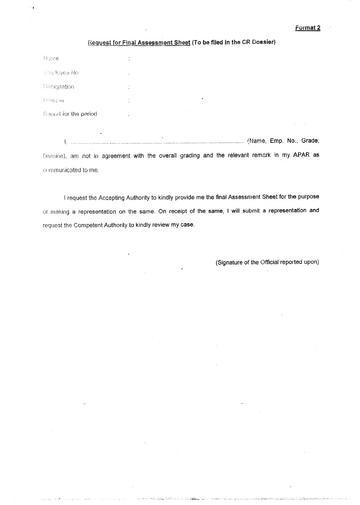### Request for Final Assessment Sheet (To be filed in the CR Dossier)

| Name                   | $\cdot$    |  |  |  |
|------------------------|------------|--|--|--|
| Employee No.           |            |  |  |  |
| Designation            | <b>ALC</b> |  |  |  |
| Division               | $\cdot$    |  |  |  |
| Report for the period. |            |  |  |  |

 !Name, Emp. No., Grade; Division), am not in agreement with the overall grading and the relevant remark in my APAR as communicated to me.

request the Accepting Authority to kindly provide me the final Assessment Sheet for the purpose of making a representation on the same. On receipt of the same, I will submit a representation and request the Competent Authority to kindly review my case.

(Signature of the Official reported upon)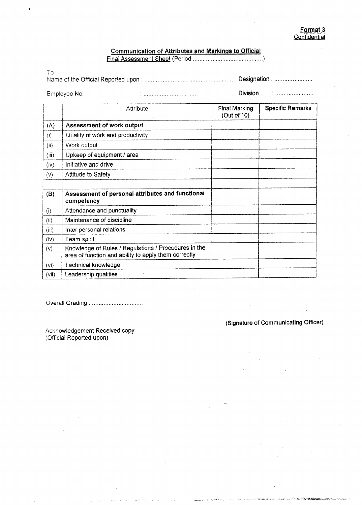#### Communication of Attributes and Markings to Official Final Assessment Sheet (Period

To

|  | Designation : |
|--|---------------|

Employee No. **Division Employee No. Construction Employee No. Division** 

|       | Attribute                                                                                                    | <b>Final Marking</b><br>(Out of 10) | <b>Specific Remarks</b> |
|-------|--------------------------------------------------------------------------------------------------------------|-------------------------------------|-------------------------|
| (A)   | Assessment of work output                                                                                    |                                     |                         |
| (i)   | Quality of work and productivity                                                                             |                                     |                         |
| (ii)  | Work output                                                                                                  |                                     |                         |
| (iii) | Upkeep of equipment / area                                                                                   |                                     |                         |
| (iv)  | Initiative and drive                                                                                         |                                     |                         |
| (v)   | Attitude to Safety                                                                                           |                                     |                         |
| (B)   | Assessment of personal attributes and functional<br>competency                                               |                                     |                         |
| (i)   | Attendance and punctuality                                                                                   |                                     |                         |
| (ii)  | Maintenance of discipline                                                                                    |                                     |                         |
| (iii) | Inter personal relations                                                                                     |                                     |                         |
| (iv)  | Team spirit                                                                                                  |                                     |                         |
| (v)   | Knowledge of Rules / Regulations / Procedures in the<br>area of function and ability to apply them correctly |                                     |                         |
| (vi)  | Technical knowledge                                                                                          |                                     |                         |
| (vii) | Leadership qualities                                                                                         |                                     |                         |

**Take III Co.** 

Overall Grading :

Acknowledgement Received copy (Official Reported upon)

(Signature of Communicating Officer)

 $\ddot{\phantom{a}}$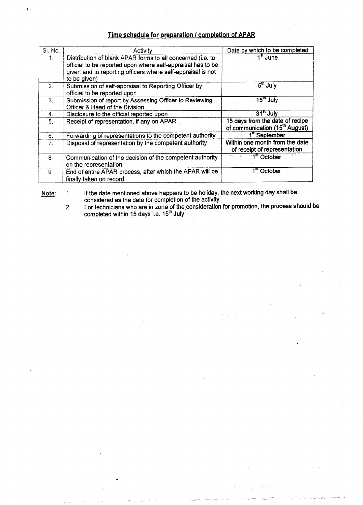### **Time schedule for preparation I completion of APAR**

√.

| SI. No. | Activity                                                                                                                                                                                 | Date by which to be completed                                                 |
|---------|------------------------------------------------------------------------------------------------------------------------------------------------------------------------------------------|-------------------------------------------------------------------------------|
| 1.      | Distribution of blank APAR forms to all concerned (i.e. to<br>official to be reported upon where self-appraisal has to be<br>given and to reporting officers where self-appraisal is not | $1st$ June                                                                    |
|         | to be given)                                                                                                                                                                             |                                                                               |
| 2.      | Submission of self-appraisal to Reporting Officer by                                                                                                                                     | 5 <sup>th</sup> July                                                          |
|         | official to be reported upon                                                                                                                                                             |                                                                               |
| 3.      | Submission of report by Assessing Officer to Reviewing                                                                                                                                   | $15m$ July                                                                    |
|         | Officer & Head of the Division                                                                                                                                                           |                                                                               |
| 4.      | Disclosure to the official reported upon                                                                                                                                                 | $31st$ July                                                                   |
| 5.      | Receipt of representation, if any on APAR                                                                                                                                                | 15 days from the date of recipe<br>of communication (15 <sup>th</sup> August) |
| 6.      | Forwarding of representations to the competent authority                                                                                                                                 | 1 <sup>st</sup> September                                                     |
| 7.      | Disposal of representation by the competent authority                                                                                                                                    | Within one month from the date<br>of receipt of representation                |
| 8.      | Communication of the decision of the competent authority                                                                                                                                 | 1 <sup>st</sup> October                                                       |
|         | on the representation                                                                                                                                                                    |                                                                               |
| 9.      | End of entire APAR process, after which the APAR will be                                                                                                                                 | 1 <sup>st</sup> October                                                       |
|         | finally taken on record.                                                                                                                                                                 |                                                                               |

<u>Note</u>: 1. If the date mentioned above happens to be holiday, the next working day shall be considered as the date for completion of the activity

2. For technicians who are in zone of the consideration for promotion, the process should be completed within 15 days i.e. 15"' July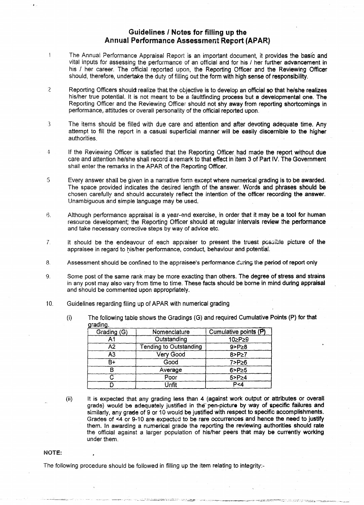### **Guidelines I Notes for filling up the Annual Performance Assessment Report (APAR)**

- $\mathbf{I}$ The Annual Performance Appraisal Report is an important document, it provides the basic and vital inputs for assessing the performance of an official and for his / her further advancement in his / her career. The official reported upon, the Reporting Officer and the Reviewing Officer should, therefore, undertake the duty of filling out the form with high sense of responsibility.
- $\overline{2}$ Reporting Officers should realize that the objective is to develop an official so that he/she realizes his/her true potential. It is not meant to be a faultfinding process but a developmental one. The Reporting Officer and the Reviewing Officer should not shy away from reporting shortcomings in performance, attitudes or overall personality of the official reported upon.
- 3 The items should be filled with due care and attention and after devoting adequate time. Any attempt to fill the report in a casual superficial manner will be easily discernible to the higher authorities.
- 4 If the Reviewing Officer is satisfied that the Reporting Officer had made the report without due care and attention he/she shall record a remark to that effect in item 3 of Part IV. The Government shall enter the remarks in the APAR of the Reporting Officer.
- 5 Every answer shall be given in a narrative form except where numerical grading is to be awarded. The space provided indicates the desired length of the answer. Words and phrases should be chosen carefully and should accurately reflect the intention of the officer recording *the* answer. Unambiguous and simple language may be used.
- 6. Although performance appraisal is a year-and exercise, in order that it may be a tool for human resource development; the Reporting Officer should at regular intervals review the performance and take necessary corrective steps by way of advice etc.
- It should be the endeavour of each appraiser to present the truest possible picture of the  $7.$ appraisee in regard to his/her performance, conduct, behaviour and potential.
- 8. Assessment should be confined to the appraisee's performance during the period of report only
- 9. Some post of the same rank may be more exacting than others. The degree of stress and strains in any post may also vary from time to time. These facts should be borne in mind during appraisal and should be commented upon appropriately.
- 10. Guidelines regarding filing up of APAR with numerical grading
	- (i) The following table shows the Gradings (G) and required Cumulative Points (P) for that arading.

| --          |                               |                       |
|-------------|-------------------------------|-----------------------|
| Grading (G) | Nomenclature                  | Cumulative points (P) |
|             | Outstanding                   | 10≥P≥9                |
| A2.         | <b>Tending to Outstanding</b> | $9 > P \ge 8$         |
| A3          | Very Good                     | $8 > P \ge 7$         |
| R+          | Good                          | 7>P≥6                 |
|             | Average                       | $6 > P \ge 5$         |
|             | Poor                          | $5 > P \ge 4$         |
|             | Unfit                         | P <sub>4</sub>        |

- 
- (ii) It is expected that any grading less than 4 (against work output or attributes or overall grade) would be adequately justified in the pen-picture by way of specific failures and similarly, any grade of 9 or 10 would be justified with respect to specific accomplishments. Grades of <4 or 9-10 are expected to be rare occurrences and hence the need to justify them. In awarding a numerical grade the reporting the reviewing authorities should rate the official against a larger population of his/her peers that may be currently working under them.

#### NOTE:

The following procedure should be followed in filling up the item relating to integrity:-